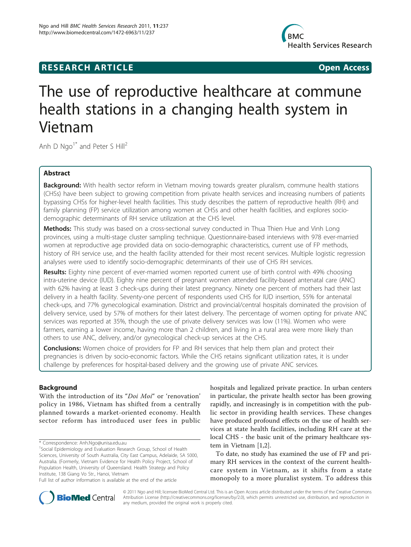# **RESEARCH ARTICLE Example 2018 12:00 Open Access**



# The use of reproductive healthcare at commune health stations in a changing health system in Vietnam

Anh D Ngo<sup>1\*</sup> and Peter S Hill<sup>2</sup>

# Abstract

Background: With health sector reform in Vietnam moving towards greater pluralism, commune health stations (CHSs) have been subject to growing competition from private health services and increasing numbers of patients bypassing CHSs for higher-level health facilities. This study describes the pattern of reproductive health (RH) and family planning (FP) service utilization among women at CHSs and other health facilities, and explores sociodemographic determinants of RH service utilization at the CHS level.

Methods: This study was based on a cross-sectional survey conducted in Thua Thien Hue and Vinh Long provinces, using a multi-stage cluster sampling technique. Questionnaire-based interviews with 978 ever-married women at reproductive age provided data on socio-demographic characteristics, current use of FP methods, history of RH service use, and the health facility attended for their most recent services. Multiple logistic regression analyses were used to identify socio-demographic determinants of their use of CHS RH services.

Results: Eighty nine percent of ever-married women reported current use of birth control with 49% choosing intra-uterine device (IUD). Eighty nine percent of pregnant women attended facility-based antenatal care (ANC) with 62% having at least 3 check-ups during their latest pregnancy. Ninety one percent of mothers had their last delivery in a health facility. Seventy-one percent of respondents used CHS for IUD insertion, 55% for antenatal check-ups, and 77% gynecological examination. District and provincial/central hospitals dominated the provision of delivery service, used by 57% of mothers for their latest delivery. The percentage of women opting for private ANC services was reported at 35%, though the use of private delivery services was low (11%). Women who were farmers, earning a lower income, having more than 2 children, and living in a rural area were more likely than others to use ANC, delivery, and/or gynecological check-up services at the CHS.

**Conclusions:** Women choice of providers for FP and RH services that help them plan and protect their pregnancies is driven by socio-economic factors. While the CHS retains significant utilization rates, it is under challenge by preferences for hospital-based delivery and the growing use of private ANC services.

# Background

With the introduction of its "Doi Moi" or 'renovation' policy in 1986, Vietnam has shifted from a centrally planned towards a market-oriented economy. Health sector reform has introduced user fees in public

\* Correspondence: [Anh.Ngo@unisa.edu.au](mailto:Anh.Ngo@unisa.edu.au)

<sup>1</sup>Social Epidemiology and Evaluation Research Group, School of Health Sciences, University of South Australia, City East Campus, Adelaide, SA 5000, Australia. (Formerly, Vietnam Evidence for Health Policy Project, School of Population Health, University of Queensland. Health Strategy and Policy Institute, 138 Giang Vo Str., Hanoi, Vietnam

Full list of author information is available at the end of the article

hospitals and legalized private practice. In urban centers in particular, the private health sector has been growing rapidly, and increasingly is in competition with the public sector in providing health services. These changes have produced profound effects on the use of health services at state health facilities, including RH care at the local CHS - the basic unit of the primary healthcare system in Vietnam [[1,2\]](#page-8-0).

To date, no study has examined the use of FP and primary RH services in the context of the current healthcare system in Vietnam, as it shifts from a state monopoly to a more pluralist system. To address this



© 2011 Ngo and Hill; licensee BioMed Central Ltd. This is an Open Access article distributed under the terms of the Creative Commons Attribution License [\(http://creativecommons.org/licenses/by/2.0](http://creativecommons.org/licenses/by/2.0)), which permits unrestricted use, distribution, and reproduction in any medium, provided the original work is properly cited.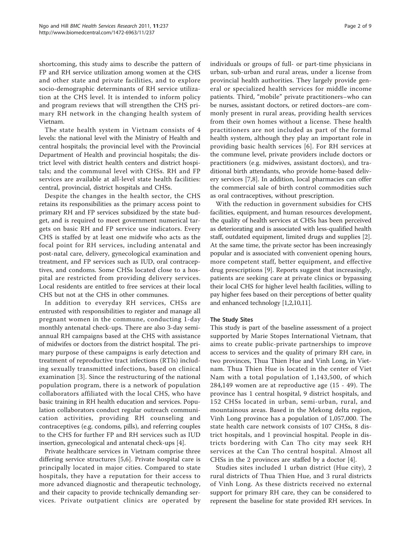shortcoming, this study aims to describe the pattern of FP and RH service utilization among women at the CHS and other state and private facilities, and to explore socio-demographic determinants of RH service utilization at the CHS level. It is intended to inform policy and program reviews that will strengthen the CHS primary RH network in the changing health system of Vietnam.

The state health system in Vietnam consists of 4 levels: the national level with the Ministry of Health and central hospitals; the provincial level with the Provincial Department of Health and provincial hospitals; the district level with district health centers and district hospitals; and the communal level with CHSs. RH and FP services are available at all-level state health facilities: central, provincial, district hospitals and CHSs.

Despite the changes in the health sector, the CHS retains its responsibilities as the primary access point to primary RH and FP services subsidized by the state budget, and is required to meet government numerical targets on basic RH and FP service use indicators. Every CHS is staffed by at least one midwife who acts as the focal point for RH services, including antenatal and post-natal care, delivery, gynecological examination and treatment, and FP services such as IUD, oral contraceptives, and condoms. Some CHSs located close to a hospital are restricted from providing delivery services. Local residents are entitled to free services at their local CHS but not at the CHS in other communes.

In addition to everyday RH services, CHSs are entrusted with responsibilities to register and manage all pregnant women in the commune, conducting 1-day monthly antenatal check-ups. There are also 3-day semiannual RH campaigns based at the CHS with assistance of midwifes or doctors from the district hospital. The primary purpose of these campaigns is early detection and treatment of reproductive tract infections (RTIs) including sexually transmitted infections, based on clinical examination [[3](#page-8-0)]. Since the restructuring of the national population program, there is a network of population collaborators affiliated with the local CHS, who have basic training in RH health education and services. Population collaborators conduct regular outreach communication activities, providing RH counseling and contraceptives (e.g. condoms, pills), and referring couples to the CHS for further FP and RH services such as IUD insertion, gynecological and antenatal check-ups [\[4\]](#page-8-0).

Private healthcare services in Vietnam comprise three differing service structures [[5](#page-8-0),[6\]](#page-8-0). Private hospital care is principally located in major cities. Compared to state hospitals, they have a reputation for their access to more advanced diagnostic and therapeutic technology, and their capacity to provide technically demanding services. Private outpatient clinics are operated by individuals or groups of full- or part-time physicians in urban, sub-urban and rural areas, under a license from provincial health authorities. They largely provide general or specialized health services for middle income patients. Third, "mobile" private practitioners–who can be nurses, assistant doctors, or retired doctors–are commonly present in rural areas, providing health services from their own homes without a license. These health practitioners are not included as part of the formal health system, although they play an important role in providing basic health services [[6](#page-8-0)]. For RH services at the commune level, private providers include doctors or practitioners (e.g. midwives, assistant doctors), and traditional birth attendants, who provide home-based delivery services [\[7](#page-8-0),[8](#page-8-0)]. In addition, local pharmacies can offer the commercial sale of birth control commodities such as oral contraceptives, without prescription.

With the reduction in government subsidies for CHS facilities, equipment, and human resources development, the quality of health services at CHSs has been perceived as deteriorating and is associated with less-qualified health staff, outdated equipment, limited drugs and supplies [\[2](#page-8-0)]. At the same time, the private sector has been increasingly popular and is associated with convenient opening hours, more competent staff, better equipment, and effective drug prescriptions [[9\]](#page-8-0). Reports suggest that increasingly, patients are seeking care at private clinics or bypassing their local CHS for higher level health facilities, willing to pay higher fees based on their perceptions of better quality and enhanced technology [\[1,2,10,11\]](#page-8-0).

# The Study Sites

This study is part of the baseline assessment of a project supported by Marie Stopes International Vietnam, that aims to create public-private partnerships to improve access to services and the quality of primary RH care, in two provinces, Thua Thien Hue and Vinh Long, in Vietnam. Thua Thien Hue is located in the center of Viet Nam with a total population of 1,143,500, of which 284,149 women are at reproductive age (15 - 49). The province has 1 central hospital, 9 district hospitals, and 152 CHSs located in urban, semi-urban, rural, and mountainous areas. Based in the Mekong delta region, Vinh Long province has a population of 1,057,000. The state health care network consists of 107 CHSs, 8 district hospitals, and 1 provincial hospital. People in districts bordering with Can Tho city may seek RH services at the Can Tho central hospital. Almost all CHSs in the 2 provinces are staffed by a doctor [\[4\]](#page-8-0).

Studies sites included 1 urban district (Hue city), 2 rural districts of Thua Thien Hue, and 3 rural districts of Vinh Long. As these districts received no external support for primary RH care, they can be considered to represent the baseline for state provided RH services. In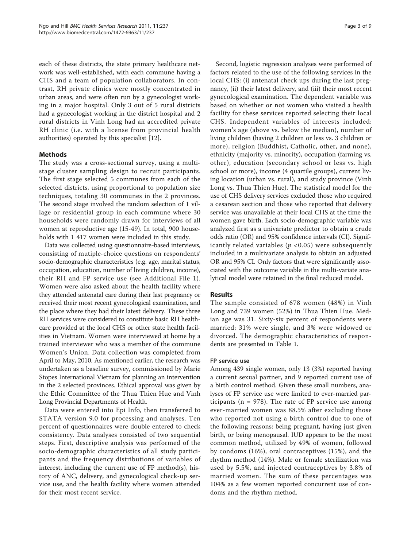each of these districts, the state primary healthcare network was well-established, with each commune having a CHS and a team of population collaborators. In contrast, RH private clinics were mostly concentrated in urban areas, and were often run by a gynecologist working in a major hospital. Only 3 out of 5 rural districts had a gynecologist working in the district hospital and 2 rural districts in Vinh Long had an accredited private RH clinic (i.e. with a license from provincial health authorities) operated by this specialist [[12](#page-8-0)].

# Methods

The study was a cross-sectional survey, using a multistage cluster sampling design to recruit participants. The first stage selected 5 communes from each of the selected districts, using proportional to population size techniques, totaling 30 communes in the 2 provinces. The second stage involved the random selection of 1 village or residential group in each commune where 30 households were randomly drawn for interviews of all women at reproductive age (15-49). In total, 900 households with 1 417 women were included in this study.

Data was collected using questionnaire-based interviews, consisting of mutiple-choice questions on respondents' socio-demographic characteristics (e.g. age, marital status, occupation, education, number of living children, income), their RH and FP service use (see Additional File [1\)](#page-7-0). Women were also asked about the health facility where they attended antenatal care during their last pregnancy or received their most recent gynecological examination, and the place where they had their latest delivery. These three RH services were considered to constitute basic RH healthcare provided at the local CHS or other state health facilities in Vietnam. Women were interviewed at home by a trained interviewer who was a member of the commune Women's Union. Data collection was completed from April to May, 2010. As mentioned earlier, the research was undertaken as a baseline survey, commissioned by Marie Stopes International Vietnam for planning an intervention in the 2 selected provinces. Ethical approval was given by the Ethic Committee of the Thua Thien Hue and Vinh Long Provincial Departments of Health.

Data were entered into Epi Info, then transferred to STATA version 9.0 for processing and analyses. Ten percent of questionnaires were double entered to check consistency. Data analyses consisted of two sequential steps. First, descriptive analysis was performed of the socio-demographic characteristics of all study participants and the frequency distributions of variables of interest, including the current use of FP method(s), history of ANC, delivery, and gynecological check-up service use, and the health facility where women attended for their most recent service.

Second, logistic regression analyses were performed of factors related to the use of the following services in the local CHS: (i) antenatal check ups during the last pregnancy, (ii) their latest delivery, and (iii) their most recent gynecological examination. The dependent variable was based on whether or not women who visited a health facility for these services reported selecting their local CHS. Independent variables of interests included: women's age (above vs. below the median), number of living children (having 2 children or less vs. 3 children or more), religion (Buddhist, Catholic, other, and none), ethnicity (majority vs. minority), occupation (farming vs. other), education (secondary school or less vs. high school or more), income (4 quartile groups), current living location (urban vs. rural), and study province (Vinh Long vs. Thua Thien Hue). The statistical model for the use of CHS delivery services excluded those who required a cesarean section and those who reported that delivery service was unavailable at their local CHS at the time the women gave birth. Each socio-demographic variable was analyzed first as a univariate predictor to obtain a crude odds ratio (OR) and 95% confidence intervals (CI). Significantly related variables ( $p$  <0.05) were subsequently included in a multivariate analysis to obtain an adjusted OR and 95% CI. Only factors that were significantly associated with the outcome variable in the multi-variate analytical model were retained in the final reduced model.

# Results

The sample consisted of 678 women (48%) in Vinh Long and 739 women (52%) in Thua Thien Hue. Median age was 31. Sixty-six percent of respondents were married; 31% were single, and 3% were widowed or divorced. The demographic characteristics of respondents are presented in Table [1](#page-3-0).

### FP service use

Among 439 single women, only 13 (3%) reported having a current sexual partner, and 9 reported current use of a birth control method. Given these small numbers, analyses of FP service use were limited to ever-married participants ( $n = 978$ ). The rate of FP service use among ever-married women was 88.5% after excluding those who reported not using a birth control due to one of the following reasons: being pregnant, having just given birth, or being menopausal. IUD appears to be the most common method, utilized by 49% of women, followed by condoms (16%), oral contraceptives (15%), and the rhythm method (14%). Male or female sterilization was used by 5.5%, and injected contraceptives by 3.8% of married women. The sum of these percentages was 104% as a few women reported concurrent use of condoms and the rhythm method.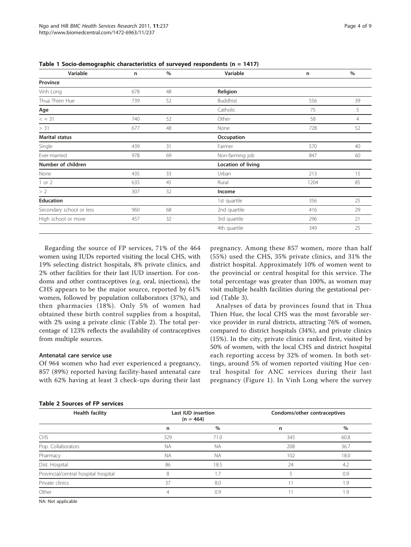| Variable                 | n   | $\%$               | Variable        | n   | %              |  |
|--------------------------|-----|--------------------|-----------------|-----|----------------|--|
| Province                 |     |                    |                 |     |                |  |
| Vinh Long                | 678 | 48                 | Religion        |     |                |  |
| Thua Thien Hue           | 739 | 52                 | Buddhist        | 556 | 39             |  |
| Age                      |     |                    | Catholic<br>75  |     | 5              |  |
| $<$ = 31                 | 740 | 52                 | Other           | 58  | $\overline{4}$ |  |
| > 31                     | 677 | 48                 | None            | 728 | 52             |  |
| <b>Marital status</b>    |     |                    | Occupation      |     |                |  |
| Single                   | 439 | 31                 | Farmer          | 570 | 40             |  |
| Ever-married             | 978 | 69                 | Non-farming job | 847 | 60             |  |
| Number of children       |     | Location of living |                 |     |                |  |
| None                     | 435 | 33                 | Urban<br>213    |     | 15             |  |
| $1$ or $2$               | 635 | 45                 | 1204<br>Rural   |     | 85             |  |
| > 2                      | 307 | 32                 | Income          |     |                |  |
| <b>Education</b>         |     |                    | 1st quartile    | 356 | 25             |  |
| Secondary school or less | 960 | 68                 | 2nd quartile    | 416 | 29             |  |
| High school or more      | 457 | 32                 | 3rd quartile    | 296 | 21             |  |
|                          |     |                    | 4th quartile    | 349 | 25             |  |

<span id="page-3-0"></span>Table 1 Socio-demographic characteristics of surveyed respondents (n = 1417)

Regarding the source of FP services, 71% of the 464 women using IUDs reported visiting the local CHS, with 19% selecting district hospitals, 8% private clinics, and 2% other facilities for their last IUD insertion. For condoms and other contraceptives (e.g. oral, injections), the CHS appears to be the major source, reported by 61% women, followed by population collaborators (37%), and then pharmacies (18%). Only 5% of women had obtained these birth control supplies from a hospital, with 2% using a private clinic (Table 2). The total percentage of 123% reflects the availability of contraceptives from multiple sources.

#### Antenatal care service use

Of 964 women who had ever experienced a pregnancy, 857 (89%) reported having facility-based antenatal care with 62% having at least 3 check-ups during their last pregnancy. Among these 857 women, more than half (55%) used the CHS, 35% private clinics, and 31% the district hospital. Approximately 10% of women went to the provincial or central hospital for this service. The total percentage was greater than 100%, as women may visit multiple health facilities during the gestational period (Table [3\)](#page-4-0).

Analyses of data by provinces found that in Thua Thien Hue, the local CHS was the most favorable service provider in rural districts, attracting 76% of women, compared to district hospitals (34%), and private clinics (15%). In the city, private clinics ranked first, visited by 50% of women, with the local CHS and district hospital each reporting access by 32% of women. In both settings, around 5% of women reported visiting Hue central hospital for ANC services during their last pregnancy (Figure [1](#page-4-0)). In Vinh Long where the survey

| <b>Health facility</b>               | Last IUD insertion<br>$(n = 464)$ |           | Condoms/other contraceptives |      |  |
|--------------------------------------|-----------------------------------|-----------|------------------------------|------|--|
|                                      | n                                 | $\%$      | n                            | $\%$ |  |
| CHS                                  | 329                               | 71.0      | 345                          | 60.8 |  |
| Pop. Collaborators                   | <b>NA</b>                         | <b>NA</b> | 208                          | 36.7 |  |
| Pharmacy                             | <b>NA</b>                         | <b>NA</b> | 102                          | 18.0 |  |
| Dist. Hospital                       | 86                                | 18.5      | 24                           | 4.2  |  |
| Provincial/central hospital hospital |                                   | 1.7       |                              | 0.9  |  |
| Private clinics                      | 37                                | 8.0       |                              | 1.9  |  |
| Other                                |                                   | 0.9       |                              | .9   |  |

Table 2 Sources of FP services

NA: Not applicable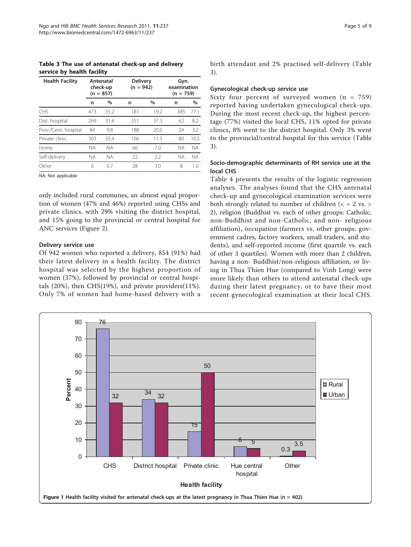<span id="page-4-0"></span>Table 3 The use of antenatal check-up and delivery service by health facility

| <b>Health Facility</b> | Antenatal<br>check-up<br>$(n = 857)$ |               | <b>Delivery</b><br>$(n = 942)$ |      | Gyn.<br>examination<br>$(n = 759)$ |           |
|------------------------|--------------------------------------|---------------|--------------------------------|------|------------------------------------|-----------|
|                        | n                                    | $\frac{0}{0}$ | n                              | $\%$ | n                                  | $\%$      |
| <b>CHS</b>             | 473                                  | 55.2          | 181                            | 19.2 | 585                                | 77.1      |
| Dist. hospital         | 269                                  | 31.4          | 351                            | 37.3 | 62                                 | 8.2       |
| Prov./Cent. hospital   | 84                                   | 9.8           | 188                            | 20.0 | 24                                 | 3.2       |
| Private clinic         | 303                                  | 35.4          | 106                            | 11.3 | 80                                 | 10.5      |
| Home                   | <b>NA</b>                            | <b>NA</b>     | 66                             | 7.0  | <b>NA</b>                          | <b>NA</b> |
| Self-delivery          | <b>NA</b>                            | <b>NA</b>     | 22                             | 2.2  | <b>NA</b>                          | <b>NA</b> |
| Other                  | 6                                    | 0.7           | 28                             | 3.0  | 8                                  | 1.0       |

NA: Not applicable

only included rural communes, an almost equal proportion of women (47% and 46%) reported using CHSs and private clinics, with 29% visiting the district hospital, and 15% going to the provincial or central hospital for ANC services (Figure [2](#page-5-0)).

## Delivery service use

Of 942 women who reported a delivery, 854 (91%) had their latest delivery in a health facility. The district hospital was selected by the highest proportion of women (37%), followed by provincial or central hospitals (20%), then CHS(19%), and private providers(11%). Only 7% of women had home-based delivery with a birth attendant and 2% practised self-delivery (Table 3).

### Gynecological check-up service use

Sixty four percent of surveyed women (n = 759) reported having undertaken gynecological check-ups. During the most recent check-up, the highest percentage (77%) visited the local CHS, 11% opted for private clinics, 8% went to the district hospital. Only 3% went to the provincial/central hospital for this service (Table 3).

# Socio-demographic determinants of RH service use at the local CHS

Table [4](#page-5-0) presents the results of the logistic regression analyses. The analyses found that the CHS antenatal check-up and gynecological examination services were both strongly related to number of children  $\zeta = 2$  vs. > 2), religion (Buddhist vs. each of other groups: Catholic, non-Buddhist and non-Catholic, and non- religious affiliation), occupation (farmers vs. other groups: government cadres, factory workers, small traders, and students), and self-reported income (first quartile vs. each of other 3 quartiles). Women with more than 2 children, having a non- Buddhist/non-religious affiliation, or living in Thua Thien Hue (compared to Vinh Long) were more likely than others to attend antenatal check-ups during their latest pregnancy, or to have their most recent gynecological examination at their local CHS.

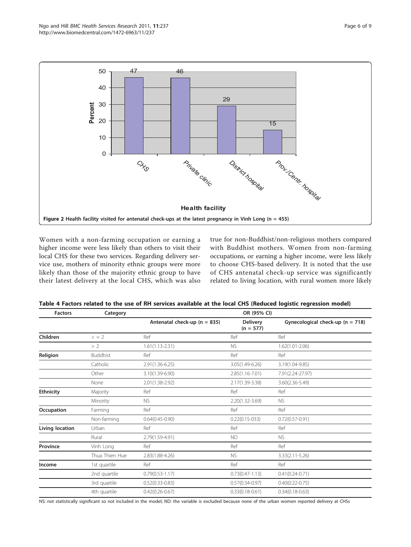<span id="page-5-0"></span>

Women with a non-farming occupation or earning a higher income were less likely than others to visit their local CHS for these two services. Regarding delivery service use, mothers of minority ethnic groups were more likely than those of the majority ethnic group to have their latest delivery at the local CHS, which was also

true for non-Buddhist/non-religious mothers compared with Buddhist mothers. Women from non-farming occupations, or earning a higher income, were less likely to choose CHS-based delivery. It is noted that the use of CHS antenatal check-up service was significantly related to living location, with rural women more likely

| <b>Factors</b>  | Category        |                                  | OR (95% CI)                    |                                      |
|-----------------|-----------------|----------------------------------|--------------------------------|--------------------------------------|
|                 |                 | Antenatal check-up ( $n = 835$ ) | <b>Delivery</b><br>$(n = 577)$ | Gynecological check-up ( $n = 718$ ) |
| Children        | $\leq$ = 2      | Ref                              | Ref                            | Ref                                  |
|                 | > 2             | $1.61(1.13 - 2.31)$              | <b>NS</b>                      | $1.62(1.01 - 2.06)$                  |
| Religion        | <b>Buddhist</b> | Ref                              | Ref                            | Ref                                  |
|                 | Catholic        | $2.91(1.36-6.25)$                | 3.05(1.49-6.26)                | 3.19(1.04-9.85)                      |
|                 | Other           | 3.10(1.39-6.90)                  | $2.85(1.16 - 7.01)$            | 7.91(2.24-27.97)                     |
|                 | None            | 2.01(1.38-2.92)                  | 2.17(1.39-3.38)                | 3.60(2.36-5.49)                      |
| Ethnicity       | Majority        | Ref                              | Ref                            | Ref                                  |
|                 | Minority        | <b>NS</b>                        | $2.20(1.32 - 3.69)$            | <b>NS</b>                            |
| Occupation      | Farming         | Ref                              | Ref                            | Ref                                  |
|                 | Non-farming     | $0.64(0.45 - 0.90)$              | $0.22(0.15 - 033)$             | $0.72(0.57 - 0.91)$                  |
| Living location | Urban           | Ref                              | Ref                            | Ref                                  |
|                 | Rural           | 2.79(1.59-4.91)                  | <b>ND</b>                      | <b>NS</b>                            |
| Province        | Vinh Long       | Ref                              | Ref                            | Ref                                  |
|                 | Thua Thien Hue  | $2.83(1.88 - 4.26)$              | <b>NS</b>                      | $3.33(2.11 - 5.26)$                  |
| Income          | 1st quartile    | Ref                              | Ref                            | Ref                                  |
|                 | 2nd quartile    | $0.79(0.53 - 1.17)$              | $0.73(0.47 - 1.13)$            | $0.41(0.24 - 0.71)$                  |
|                 | 3rd quartile    | $0.52(0.33 - 0.83)$              | $0.57(0.34 - 0.97)$            | $0.40(0.22 - 0.75)$                  |
|                 | 4th quartile    | $0.42(0.26 - 0.67)$              | $0.33(0.18 - 0.61)$            | $0.34(0.18 - 0.63)$                  |

|  |  | Table 4 Factors related to the use of RH services available at the local CHS (Reduced logistic regression model) |
|--|--|------------------------------------------------------------------------------------------------------------------|
|--|--|------------------------------------------------------------------------------------------------------------------|

NS: not statistically significant so not included in the model; ND: the variable is excluded because none of the urban women reported delivery at CHSs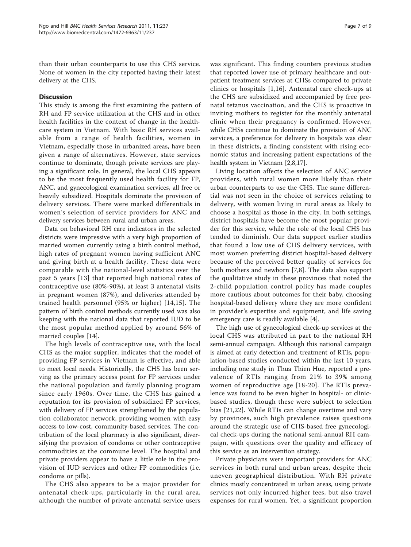than their urban counterparts to use this CHS service. None of women in the city reported having their latest delivery at the CHS.

# **Discussion**

This study is among the first examining the pattern of RH and FP service utilization at the CHS and in other health facilities in the context of change in the healthcare system in Vietnam. With basic RH services available from a range of health facilities, women in Vietnam, especially those in urbanized areas, have been given a range of alternatives. However, state services continue to dominate, though private services are playing a significant role. In general, the local CHS appears to be the most frequently used health facility for FP, ANC, and gynecological examination services, all free or heavily subsidized. Hospitals dominate the provision of delivery services. There were marked differentials in women's selection of service providers for ANC and delivery services between rural and urban areas.

Data on behavioral RH care indicators in the selected districts were impressive with a very high proportion of married women currently using a birth control method, high rates of pregnant women having sufficient ANC and giving birth at a health facility. These data were comparable with the national-level statistics over the past 5 years [[13\]](#page-8-0) that reported high national rates of contraceptive use (80%-90%), at least 3 antenatal visits in pregnant women (87%), and deliveries attended by trained health personnel (95% or higher) [[14,15](#page-8-0)]. The pattern of birth control methods currently used was also keeping with the national data that reported IUD to be the most popular method applied by around 56% of married couples [[14\]](#page-8-0).

The high levels of contraceptive use, with the local CHS as the major supplier, indicates that the model of providing FP services in Vietnam is effective, and able to meet local needs. Historically, the CHS has been serving as the primary access point for FP services under the national population and family planning program since early 1960s. Over time, the CHS has gained a reputation for its provision of subsidized FP services, with delivery of FP services strengthened by the population collaborator network, providing women with easy access to low-cost, community-based services. The contribution of the local pharmacy is also significant, diversifying the provision of condoms or other contraceptive commodities at the commune level. The hospital and private providers appear to have a little role in the provision of IUD services and other FP commodities (i.e. condoms or pills).

The CHS also appears to be a major provider for antenatal check-ups, particularly in the rural area, although the number of private antenatal service users was significant. This finding counters previous studies that reported lower use of primary healthcare and outpatient treatment services at CHSs compared to private clinics or hospitals [[1,16](#page-8-0)]. Antenatal care check-ups at the CHS are subsidized and accompanied by free prenatal tetanus vaccination, and the CHS is proactive in inviting mothers to register for the monthly antenatal clinic when their pregnancy is confirmed. However, while CHSs continue to dominate the provision of ANC services, a preference for delivery in hospitals was clear in these districts, a finding consistent with rising economic status and increasing patient expectations of the health system in Vietnam [\[2,8,17\]](#page-8-0).

Living location affects the selection of ANC service providers, with rural women more likely than their urban counterparts to use the CHS. The same differential was not seen in the choice of services relating to delivery, with women living in rural areas as likely to choose a hospital as those in the city. In both settings, district hospitals have become the most popular provider for this service, while the role of the local CHS has tended to diminish. Our data support earlier studies that found a low use of CHS delivery services, with most women preferring district hospital-based delivery because of the perceived better quality of services for both mothers and newborn [[7,8](#page-8-0)]. The data also support the qualitative study in these provinces that noted the 2-child population control policy has made couples more cautious about outcomes for their baby, choosing hospital-based delivery where they are more confident in provider's expertise and equipment, and life saving emergency care is readily available [[4\]](#page-8-0).

The high use of gynecological check-up services at the local CHS was attributed in part to the national RH semi-annual campaign. Although this national campaign is aimed at early detection and treatment of RTIs, population-based studies conducted within the last 10 years, including one study in Thua Thien Hue, reported a prevalence of RTIs ranging from 21% to 39% among women of reproductive age [[18-20\]](#page-8-0). The RTIs prevalence was found to be even higher in hospital- or clinicbased studies, though these were subject to selection bias [[21,22](#page-8-0)]. While RTIs can change overtime and vary by provinces, such high prevalence raises questions around the strategic use of CHS-based free gynecological check-ups during the national semi-annual RH campaign, with questions over the quality and efficacy of this service as an intervention strategy.

Private physicians were important providers for ANC services in both rural and urban areas, despite their uneven geographical distribution. With RH private clinics mostly concentrated in urban areas, using private services not only incurred higher fees, but also travel expenses for rural women. Yet, a significant proportion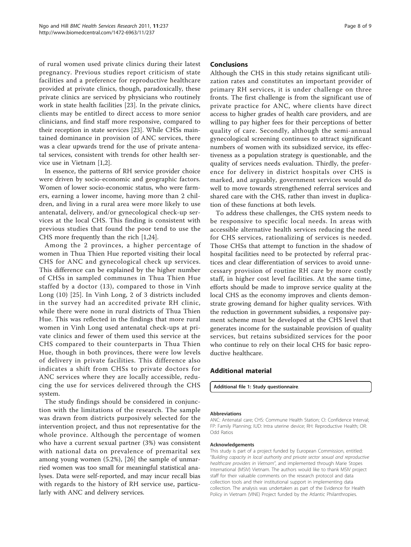<span id="page-7-0"></span>of rural women used private clinics during their latest pregnancy. Previous studies report criticism of state facilities and a preference for reproductive healthcare provided at private clinics, though, paradoxically, these private clinics are serviced by physicians who routinely work in state health facilities [[23\]](#page-8-0). In the private clinics, clients may be entitled to direct access to more senior clinicians, and find staff more responsive, compared to their reception in state services [\[23](#page-8-0)]. While CHSs maintained dominance in provision of ANC services, there was a clear upwards trend for the use of private antenatal services, consistent with trends for other health service use in Vietnam [[1,2\]](#page-8-0).

In essence, the patterns of RH service provider choice were driven by socio-economic and geographic factors. Women of lower socio-economic status, who were farmers, earning a lower income, having more than 2 children, and living in a rural area were more likely to use antenatal, delivery, and/or gynecological check-up services at the local CHS. This finding is consistent with previous studies that found the poor tend to use the CHS more frequently than the rich [[1,24\]](#page-8-0).

Among the 2 provinces, a higher percentage of women in Thua Thien Hue reported visiting their local CHS for ANC and gynecological check up services. This difference can be explained by the higher number of CHSs in sampled communes in Thua Thien Hue staffed by a doctor (13), compared to those in Vinh Long (10) [[25](#page-8-0)]. In Vinh Long, 2 of 3 districts included in the survey had an accredited private RH clinic, while there were none in rural districts of Thua Thien Hue. This was reflected in the findings that more rural women in Vinh Long used antenatal check-ups at private clinics and fewer of them used this service at the CHS compared to their counterparts in Thua Thien Hue, though in both provinces, there were low levels of delivery in private facilities. This difference also indicates a shift from CHSs to private doctors for ANC services where they are locally accessible, reducing the use for services delivered through the CHS system.

The study findings should be considered in conjunction with the limitations of the research. The sample was drawn from districts purposively selected for the intervention project, and thus not representative for the whole province. Although the percentage of women who have a current sexual partner (3%) was consistent with national data on prevalence of premarital sex among young women (5.2%), [[26\]](#page-8-0) the sample of unmarried women was too small for meaningful statistical analyses. Data were self-reported, and may incur recall bias with regards to the history of RH service use, particularly with ANC and delivery services.

### Conclusions

Although the CHS in this study retains significant utilization rates and constitutes an important provider of primary RH services, it is under challenge on three fronts. The first challenge is from the significant use of private practice for ANC, where clients have direct access to higher grades of health care providers, and are willing to pay higher fees for their perceptions of better quality of care. Secondly, although the semi-annual gynecological screening continues to attract significant numbers of women with its subsidized service, its effectiveness as a population strategy is questionable, and the quality of services needs evaluation. Thirdly, the preference for delivery in district hospitals over CHS is marked, and arguably, government services would do well to move towards strengthened referral services and shared care with the CHS, rather than invest in duplication of these functions at both levels.

To address these challenges, the CHS system needs to be responsive to specific local needs. In areas with accessible alternative health services reducing the need for CHS services, rationalizing of services is needed. Those CHSs that attempt to function in the shadow of hospital facilities need to be protected by referral practices and clear differentiation of services to avoid unnecessary provision of routine RH care by more costly staff, in higher cost level facilities. At the same time, efforts should be made to improve service quality at the local CHS as the economy improves and clients demonstrate growing demand for higher quality services. With the reduction in government subsidies, a responsive payment scheme must be developed at the CHS level that generates income for the sustainable provision of quality services, but retains subsidized services for the poor who continue to rely on their local CHS for basic reproductive healthcare.

# Additional material

[Additional file 1: S](http://www.biomedcentral.com/content/supplementary/1472-6963-11-237-S1.DOC)tudy questionnaire.

#### Abbreviations

ANC: Antenatal care; CHS: Commune Health Station; CI: Confidence Interval; FP: Family Planning; IUD: Intra uterine device; RH: Reproductive Health; OR: Odd Ratios

#### Acknowledgements

This study is part of a project funded by European Commission, entitled: "Building capacity in local authority and private sector sexual and reproductive healthcare providers in Vietnam", and implemented through Marie Stopes International (MSIV) Vietnam. The authors would like to thank MSIV project staff for their valuable comments on the research protocol and data collection tools and their institutional support in implementing data collection. The analysis was undertaken as part of the Evidence for Health Policy in Vietnam (VINE) Project funded by the Atlantic Philanthropies.